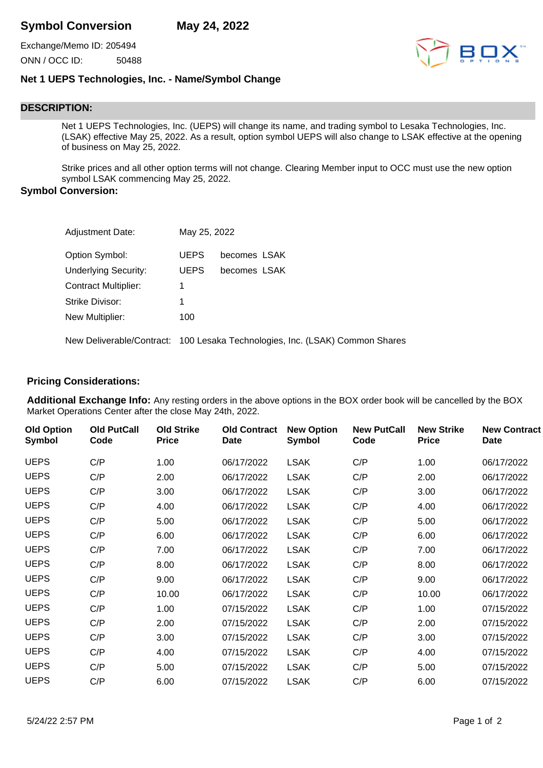Exchange/Memo ID: 205494 ONN / OCC ID: 50488



## **Net 1 UEPS Technologies, Inc. - Name/Symbol Change**

## **DESCRIPTION:**

Net 1 UEPS Technologies, Inc. (UEPS) will change its name, and trading symbol to Lesaka Technologies, Inc. (LSAK) effective May 25, 2022. As a result, option symbol UEPS will also change to LSAK effective at the opening of business on May 25, 2022.

Strike prices and all other option terms will not change. Clearing Member input to OCC must use the new option symbol LSAK commencing May 25, 2022.

## **Symbol Conversion:**

| <b>Adjustment Date:</b>     | May 25, 2022 |                                                                              |
|-----------------------------|--------------|------------------------------------------------------------------------------|
| Option Symbol:              | <b>UEPS</b>  | becomes LSAK                                                                 |
| <b>Underlying Security:</b> | <b>UEPS</b>  | becomes LSAK                                                                 |
| <b>Contract Multiplier:</b> | 1            |                                                                              |
| Strike Divisor:             | 1            |                                                                              |
| New Multiplier:             | 100          |                                                                              |
|                             |              | New Deliverable/Contract: 100 Lesaka Technologies, Inc. (LSAK) Common Shares |

## **Pricing Considerations:**

**Additional Exchange Info:** Any resting orders in the above options in the BOX order book will be cancelled by the BOX Market Operations Center after the close May 24th, 2022.

| <b>Old Option</b><br><b>Symbol</b> | <b>Old PutCall</b><br>Code | <b>Old Strike</b><br><b>Price</b> | <b>Old Contract</b><br>Date | <b>New Option</b><br>Symbol | <b>New PutCall</b><br>Code | <b>New Strike</b><br><b>Price</b> | <b>New Contract</b><br>Date |
|------------------------------------|----------------------------|-----------------------------------|-----------------------------|-----------------------------|----------------------------|-----------------------------------|-----------------------------|
| <b>UEPS</b>                        | C/P                        | 1.00                              | 06/17/2022                  | <b>LSAK</b>                 | C/P                        | 1.00                              | 06/17/2022                  |
| <b>UEPS</b>                        | C/P                        | 2.00                              | 06/17/2022                  | <b>LSAK</b>                 | C/P                        | 2.00                              | 06/17/2022                  |
| <b>UEPS</b>                        | C/P                        | 3.00                              | 06/17/2022                  | <b>LSAK</b>                 | C/P                        | 3.00                              | 06/17/2022                  |
| <b>UEPS</b>                        | C/P                        | 4.00                              | 06/17/2022                  | <b>LSAK</b>                 | C/P                        | 4.00                              | 06/17/2022                  |
| <b>UEPS</b>                        | C/P                        | 5.00                              | 06/17/2022                  | <b>LSAK</b>                 | C/P                        | 5.00                              | 06/17/2022                  |
| <b>UEPS</b>                        | C/P                        | 6.00                              | 06/17/2022                  | <b>LSAK</b>                 | C/P                        | 6.00                              | 06/17/2022                  |
| <b>UEPS</b>                        | C/P                        | 7.00                              | 06/17/2022                  | <b>LSAK</b>                 | C/P                        | 7.00                              | 06/17/2022                  |
| <b>UEPS</b>                        | C/P                        | 8.00                              | 06/17/2022                  | <b>LSAK</b>                 | C/P                        | 8.00                              | 06/17/2022                  |
| <b>UEPS</b>                        | C/P                        | 9.00                              | 06/17/2022                  | <b>LSAK</b>                 | C/P                        | 9.00                              | 06/17/2022                  |
| <b>UEPS</b>                        | C/P                        | 10.00                             | 06/17/2022                  | <b>LSAK</b>                 | C/P                        | 10.00                             | 06/17/2022                  |
| <b>UEPS</b>                        | C/P                        | 1.00                              | 07/15/2022                  | <b>LSAK</b>                 | C/P                        | 1.00                              | 07/15/2022                  |
| <b>UEPS</b>                        | C/P                        | 2.00                              | 07/15/2022                  | <b>LSAK</b>                 | C/P                        | 2.00                              | 07/15/2022                  |
| <b>UEPS</b>                        | C/P                        | 3.00                              | 07/15/2022                  | <b>LSAK</b>                 | C/P                        | 3.00                              | 07/15/2022                  |
| <b>UEPS</b>                        | C/P                        | 4.00                              | 07/15/2022                  | <b>LSAK</b>                 | C/P                        | 4.00                              | 07/15/2022                  |
| <b>UEPS</b>                        | C/P                        | 5.00                              | 07/15/2022                  | <b>LSAK</b>                 | C/P                        | 5.00                              | 07/15/2022                  |
| <b>UEPS</b>                        | C/P                        | 6.00                              | 07/15/2022                  | <b>LSAK</b>                 | C/P                        | 6.00                              | 07/15/2022                  |